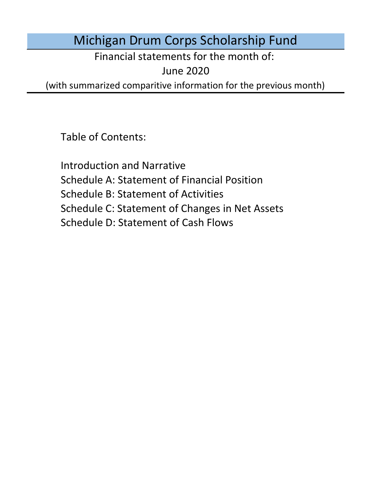# Michigan Drum Corps Scholarship Fund

Financial statements for the month of:

June 2020

(with summarized comparitive information for the previous month)

Table of Contents:

Schedule D: Statement of Cash Flows Introduction and Narrative Schedule A: Statement of Financial Position Schedule B: Statement of Activities Schedule C: Statement of Changes in Net Assets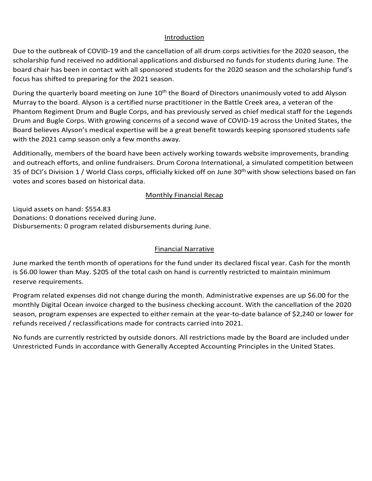### Introduction Introduction

Introduction<br>Due to the outbreak of COVID-19 and the cancellation of all drum corps activities for the 2020 season, the scholarship fund received no additional applications and disbursed no funds for students during June. The board chair has been in contact with all sponsored students for the 2020 season and the scholarship fund's<br>focus has shifted to preparing for the 2021 season. focus has shifted to preparing for the 2021 season.

During the quarterly board meeting on June 10<sup>th</sup> the Board of Directors unanimously voted to add Alyson Mariay to the board. Alyson is a certified harst Phantom Regiment Drum and Bugle Corps, and has previously served as chief medical staff for the Legends Drum and Bugie Corps. With growing concerns of a second wave of COVID-19 acr<br>-During the quarterly board meeting on suite 10. The Board of Birectors unanimously voted to add Alyson.<br>Murray to the board. Alyson is a certified nurse practitioner in the Battle Creek area, a veteran of the Diamand bagic corps. With growing concern Doard Delieves Alyson's medical expertise will be a great belief with the 2021 camp season only a few months away. Thantom Regiment Drum and Dugle Corps, and has previously served as chief medical staff for the Legends<br>Drum and Bugle Corps. With growing concerns of a second wave of COVID-19 across the United States, the prom and bugie corps. With growing concerns or a second wave or covid-15 across the onited states, the Board believes Alyson's medical expertise will be a great benefit towards keeping sponsored students safe<br>with the 2021 spons second splus four meaths sure: fund received no additional applications and disbursed no funds for students during June. The has been in contact with all sponsored students for the 2020 season and the scholarship fund's if the 2020 season.<br>
if the to p

and outreach efforts, and online fundraisers. Drum Corona International, a simulated competition between and butteach enotes, and brillie rundraisers. Drum corona international, a simulated competition between the s<br>35 of DCI's Division 1 / World Class corps, officially kicked off on June 30<sup>th</sup> with show selections based on votes and scores based on historical data.<br>
votes and scores based on historical data. .<br>Additionally, members of the board have been actively working towards website improvements, branding<br>and outreach efforts, and online fundraisers. Drum Corona International, a simulated competition between Additionally, members of the board have been actively working towards website improvements, branding

### expenses did not change during January. Administrative expenses are up to the up to the up the up to the up to the up to the up to the up to the up to the up to the up to the up to the up to the up to the up to the up to t minimum reserve requirements. The contract of the contract of the contract of the contract of the contract of the contract of the contract of the contract of the contract of the contract of the contract of the contract of Donations: 0 donations received during May. **Monthly Financial Recap**

monthly Digital Ocean invoice charged to the business checking account. Program expenses are expenses are expenses are expected to the business checking account. Program expenses are expenses are expenses are expected to t Liquid assets on hand: \$554.83<br>-Donations: 0 donations received during June.<br>Donations: 0 donations received during June. expenses are up the monthly Digital Ocean invoice charged to the monthly Digital Ocean invoice charged to the b<br>The business checking account to the business checking account. The business checking account of the business Disbursements: 0 program related disbursements during June. Financial Narrative Disbursements: 0 program related disbursements during June.

### $E_{\text{in}}$  accordance with Generally Accepted Accounting  $P$ no funds are currently restricted by outside donors. All restrictions made by the Board are included under under under the Board are included under the Board are included under the Board are included under the Board are in  $\sum_{i=1}^{n}$  and  $\sum_{i=1}^{n}$  $5.00$  cash  $\mu$  and  $\mu$  the total cash on  $\mu$ Financial Narrative

June marked the tenth month of operations for the fund under its declared fiscal year. Cash for the month<br>is 66.00 lower than May 6395 of the total seek on band is awwerfly restricted to maintain minimum is \$6.00 lower than May. \$205 of the total cash on hand is currently restricted to maintain minimum<br>season resultance tha the business checking account. With the cancellation of the 2020 season, program experience are expenses are expected as  $\alpha$ reserve requirements.

Program related expenses did not change during the month. Administrative expenses are up \$6.00 for the monthly Digital Ocean invoice charged to the business checking account. With the cancellation of the 2020 season, program expenses are expected to either remain at the year-to-date balance of \$2,240 or lower for<br>sefunds ressiund (seekeelfisations mode for eastmete carried into 2021 refunds received / reclassifications made for contracts carried into 2021. ations for the rund dinder its declared fiscar year. Cash for the month<br>total cash on hand is currently restricted to maintain minimum<br>inge during the month. Administrative expenses are up \$6.00 for the<br>d to the business c

No funds are currently restricted by outside donors. All restrictions made by the Board are included under Unrestricted Funds in accordance with Generally Accepted Accounting Principles in the United States.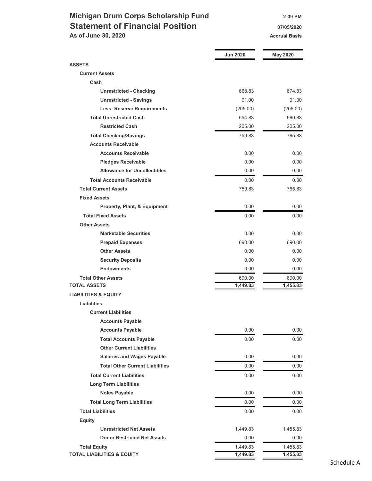### Michigan Drum Corps Scholarship Fund 2:39 PM Statement of Financial Position 07/05/2020 07/05/2020 As of June 30, 2020 Accrual Basis Accrual Basis

|                                        | <b>Jun 2020</b> | <b>May 2020</b> |
|----------------------------------------|-----------------|-----------------|
| <b>ASSETS</b>                          |                 |                 |
| <b>Current Assets</b>                  |                 |                 |
| Cash                                   |                 |                 |
| <b>Unrestricted - Checking</b>         | 668.83          | 674.83          |
| <b>Unrestricted - Savings</b>          | 91.00           | 91.00           |
| <b>Less: Reserve Requirements</b>      | (205.00)        | (205.00)        |
| <b>Total Unrestricted Cash</b>         | 554.83          | 560.83          |
| <b>Restricted Cash</b>                 | 205.00          | 205.00          |
| <b>Total Checking/Savings</b>          | 759.83          | 765.83          |
| <b>Accounts Receivable</b>             |                 |                 |
| <b>Accounts Receivable</b>             | 0.00            | 0.00            |
| <b>Pledges Receivable</b>              | 0.00            | 0.00            |
| <b>Allowance for Uncollectibles</b>    | 0.00            | 0.00            |
| <b>Total Accounts Receivable</b>       | 0.00            | 0.00            |
| <b>Total Current Assets</b>            | 759.83          | 765.83          |
| <b>Fixed Assets</b>                    |                 |                 |
| Property, Plant, & Equipment           | 0.00            | 0.00            |
| <b>Total Fixed Assets</b>              | 0.00            | 0.00            |
| <b>Other Assets</b>                    |                 |                 |
| <b>Marketable Securities</b>           | 0.00            | 0.00            |
| <b>Prepaid Expenses</b>                | 690.00          | 690.00          |
| <b>Other Assets</b>                    | 0.00            | 0.00            |
| <b>Security Deposits</b>               | 0.00            | 0.00            |
| <b>Endowments</b>                      | 0.00            | 0.00            |
| <b>Total Other Assets</b>              | 690.00          | 690.00          |
| <b>TOTAL ASSETS</b>                    | 1,449.83        | 1,455.83        |
| <b>LIABILITIES &amp; EQUITY</b>        |                 |                 |
| Liabilities                            |                 |                 |
| <b>Current Liabilities</b>             |                 |                 |
| <b>Accounts Payable</b>                |                 |                 |
| <b>Accounts Payable</b>                | 0.00            | 0.00            |
| <b>Total Accounts Payable</b>          | 0.00            | 0.00            |
| <b>Other Current Liabilities</b>       |                 |                 |
| <b>Salaries and Wages Payable</b>      | 0.00            | 0.00            |
| <b>Total Other Current Liabilities</b> | 0.00            | 0.00            |
| <b>Total Current Liabilities</b>       | 0.00            | 0.00            |
| <b>Long Term Liabilities</b>           |                 |                 |
| <b>Notes Payable</b>                   | 0.00            | 0.00            |
| <b>Total Long Term Liabilities</b>     | 0.00            | 0.00            |
| <b>Total Liabilities</b>               | 0.00            | 0.00            |
| <b>Equity</b>                          |                 |                 |
| <b>Unrestricted Net Assets</b>         | 1,449.83        | 1,455.83        |
| <b>Donor Restricted Net Assets</b>     | 0.00            | 0.00            |
| <b>Total Equity</b>                    | 1,449.83        | 1,455.83        |
| <b>TOTAL LIABILITIES &amp; EQUITY</b>  | 1,449.83        | 1,455.83        |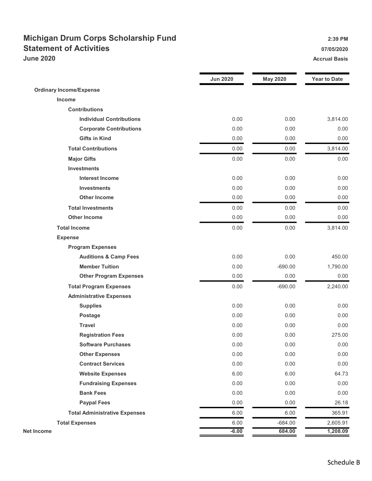## Michigan Drum Corps Scholarship Fund 2:39 PM Statement of Activities **Statement of Activities 17/05/2020 June 2020** Accrual Basis

|                                      | <b>Jun 2020</b> | <b>May 2020</b> | <b>Year to Date</b> |
|--------------------------------------|-----------------|-----------------|---------------------|
| <b>Ordinary Income/Expense</b>       |                 |                 |                     |
| Income                               |                 |                 |                     |
| <b>Contributions</b>                 |                 |                 |                     |
| <b>Individual Contributions</b>      | 0.00            | 0.00            | 3,814.00            |
| <b>Corporate Contributions</b>       | 0.00            | 0.00            | 0.00                |
| <b>Gifts in Kind</b>                 | 0.00            | 0.00            | 0.00                |
| <b>Total Contributions</b>           | 0.00            | 0.00            | 3,814.00            |
| <b>Major Gifts</b>                   | 0.00            | 0.00            | 0.00                |
| <b>Investments</b>                   |                 |                 |                     |
| <b>Interest Income</b>               | 0.00            | 0.00            | 0.00                |
| <b>Investments</b>                   | 0.00            | 0.00            | 0.00                |
| <b>Other Income</b>                  | 0.00            | 0.00            | 0.00                |
| <b>Total Investments</b>             | 0.00            | 0.00            | 0.00                |
| <b>Other Income</b>                  | 0.00            | 0.00            | 0.00                |
| <b>Total Income</b>                  | 0.00            | 0.00            | 3,814.00            |
| <b>Expense</b>                       |                 |                 |                     |
| <b>Program Expenses</b>              |                 |                 |                     |
| <b>Auditions &amp; Camp Fees</b>     | 0.00            | 0.00            | 450.00              |
| <b>Member Tuition</b>                | 0.00            | $-690.00$       | 1,790.00            |
| <b>Other Program Expenses</b>        | 0.00            | 0.00            | 0.00                |
| <b>Total Program Expenses</b>        | 0.00            | $-690.00$       | 2,240.00            |
| <b>Administrative Expenses</b>       |                 |                 |                     |
| <b>Supplies</b>                      | 0.00            | 0.00            | 0.00                |
| <b>Postage</b>                       | 0.00            | 0.00            | 0.00                |
| <b>Travel</b>                        | 0.00            | 0.00            | 0.00                |
| <b>Registration Fees</b>             | 0.00            | 0.00            | 275.00              |
| <b>Software Purchases</b>            | 0.00            | 0.00            | 0.00                |
| <b>Other Expenses</b>                | 0.00            | 0.00            | 0.00                |
| <b>Contract Services</b>             | 0.00            | 0.00            | 0.00                |
| <b>Website Expenses</b>              | 6.00            | 6.00            | 64.73               |
| <b>Fundraising Expenses</b>          | 0.00            | 0.00            | 0.00                |
| <b>Bank Fees</b>                     | 0.00            | 0.00            | 0.00                |
| <b>Paypal Fees</b>                   | 0.00            | 0.00            | 26.18               |
| <b>Total Administrative Expenses</b> | 6.00            | 6.00            | 365.91              |
| <b>Total Expenses</b>                | 6.00            | $-684.00$       | 2,605.91            |
| <b>Net Income</b>                    | $-6.00$         | 684.00          | 1,208.09            |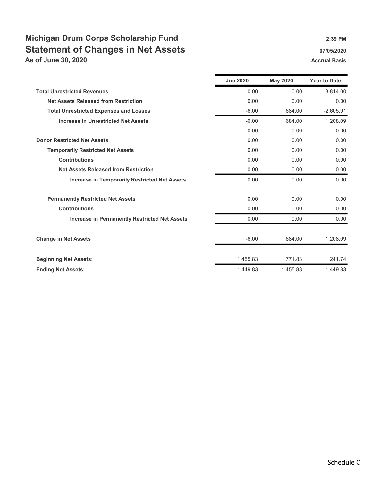## Michigan Drum Corps Scholarship Fund 2:39 PM Statement of Changes in Net Assets **67/05/2020** 07/05/2020

As of June 30, 2020 Accrual Basis Accrual Basis Accrual Basis Accrual Basis

|                                                      | <b>Jun 2020</b> | <b>May 2020</b> | <b>Year to Date</b> |
|------------------------------------------------------|-----------------|-----------------|---------------------|
| <b>Total Unrestricted Revenues</b>                   | 0.00            | 0.00            | 3,814.00            |
| <b>Net Assets Released from Restriction</b>          | 0.00            | 0.00            | 0.00                |
| <b>Total Unrestricted Expenses and Losses</b>        | $-6.00$         | 684.00          | $-2,605.91$         |
| <b>Increase in Unrestricted Net Assets</b>           | $-6.00$         | 684.00          | 1,208.09            |
|                                                      | 0.00            | 0.00            | 0.00                |
| <b>Donor Restricted Net Assets</b>                   | 0.00            | 0.00            | 0.00                |
| <b>Temporarily Restricted Net Assets</b>             | 0.00            | 0.00            | 0.00                |
| <b>Contributions</b>                                 | 0.00            | 0.00            | 0.00                |
| <b>Net Assets Released from Restriction</b>          | 0.00            | 0.00            | 0.00                |
| <b>Increase in Temporarily Restricted Net Assets</b> | 0.00            | 0.00            | 0.00                |
| <b>Permanently Restricted Net Assets</b>             | 0.00            | 0.00            | 0.00                |
| <b>Contributions</b>                                 | 0.00            | 0.00            | 0.00                |
| <b>Increase in Permanently Restricted Net Assets</b> | 0.00            | 0.00            | 0.00                |
| <b>Change in Net Assets</b>                          | $-6.00$         | 684.00          | 1,208.09            |
| <b>Beginning Net Assets:</b>                         | 1,455.83        | 771.83          | 241.74              |
| <b>Ending Net Assets:</b>                            | 1,449.83        | 1.455.83        | 1,449.83            |